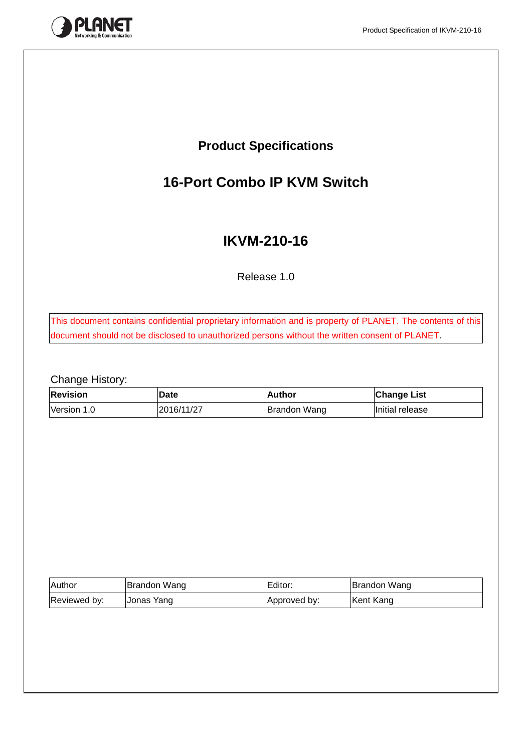

# **Product Specifications**

# **16-Port Combo IP KVM Switch**

# **IKVM-210-16**

Release 1.0

This document contains confidential proprietary information and is property of PLANET. The contents of this document should not be disclosed to unauthorized persons without the written consent of PLANET.

Change History:

| <b>Revision</b> | Date       | Author              | <b>Change List</b> |
|-----------------|------------|---------------------|--------------------|
| Version 1.0     | 2016/11/27 | <b>Brandon Wang</b> | Initial release    |

| <b>Author</b> | Brandon Wang | Editor:      | Brandon Wang |  |  |
|---------------|--------------|--------------|--------------|--|--|
| Reviewed by:  | Jonas Yang   | Approved by: | Kent Kang    |  |  |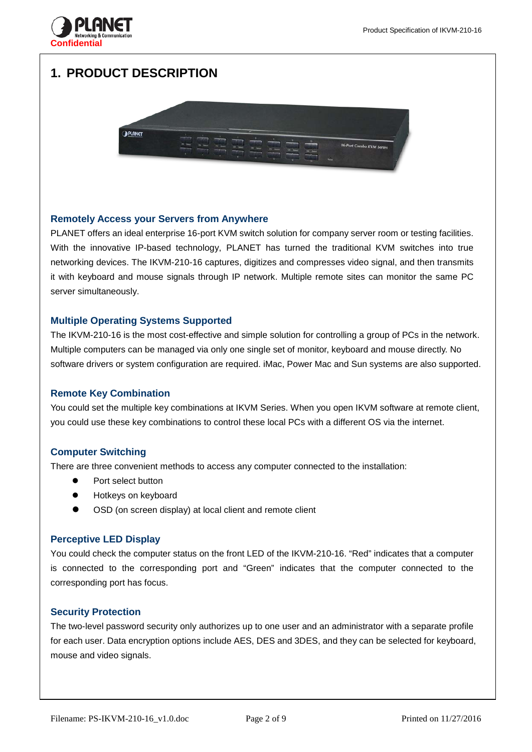



**Confidential**



### **Remotely Access your Servers from Anywhere**

PLANET offers an ideal enterprise 16-port KVM switch solution for company server room or testing facilities. With the innovative IP-based technology, PLANET has turned the traditional KVM switches into true networking devices. The IKVM-210-16 captures, digitizes and compresses video signal, and then transmits it with keyboard and mouse signals through IP network. Multiple remote sites can monitor the same PC server simultaneously.

### **Multiple Operating Systems Supported**

The IKVM-210-16 is the most cost-effective and simple solution for controlling a group of PCs in the network. Multiple computers can be managed via only one single set of monitor, keyboard and mouse directly. No software drivers or system configuration are required. iMac, Power Mac and Sun systems are also supported.

#### **Remote Key Combination**

You could set the multiple key combinations at IKVM Series. When you open IKVM software at remote client, you could use these key combinations to control these local PCs with a different OS via the internet.

#### **Computer Switching**

There are three convenient methods to access any computer connected to the installation:

- Port select button
- Hotkeys on keyboard
- OSD (on screen display) at local client and remote client

#### **Perceptive LED Display**

You could check the computer status on the front LED of the IKVM-210-16. "Red" indicates that a computer is connected to the corresponding port and "Green" indicates that the computer connected to the corresponding port has focus.

### **Security Protection**

The two-level password security only authorizes up to one user and an administrator with a separate profile for each user. Data encryption options include AES, DES and 3DES, and they can be selected for keyboard, mouse and video signals.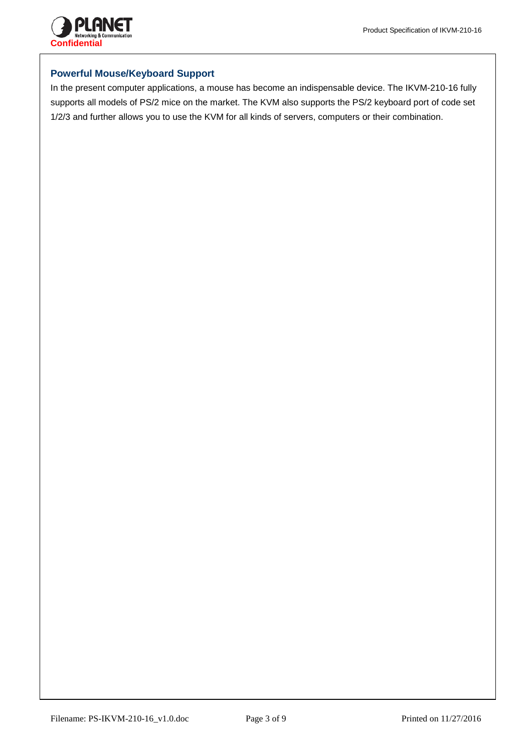

## **Powerful Mouse/Keyboard Support**

In the present computer applications, a mouse has become an indispensable device. The IKVM-210-16 fully supports all models of PS/2 mice on the market. The KVM also supports the PS/2 keyboard port of code set 1/2/3 and further allows you to use the KVM for all kinds of servers, computers or their combination.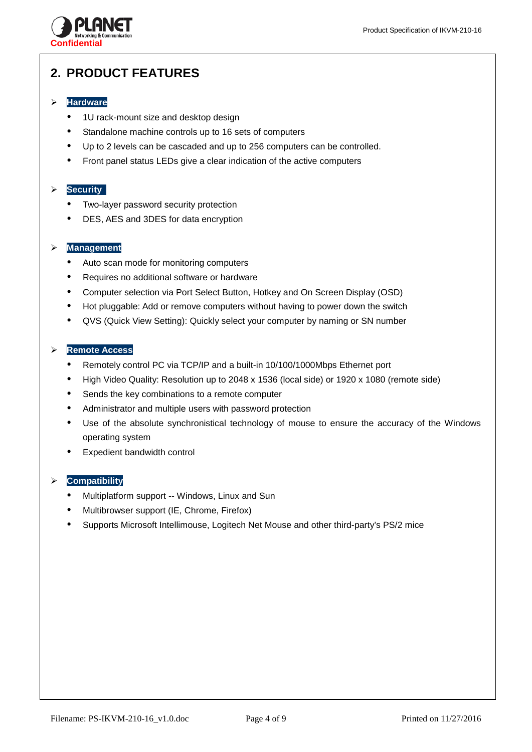

# **2. PRODUCT FEATURES**

## **Hardware**

- 1U rack-mount size and desktop design
- Standalone machine controls up to 16 sets of computers
- Up to 2 levels can be cascaded and up to 256 computers can be controlled.
- Front panel status LEDs give a clear indication of the active computers

## **Security**

- Two-layer password security protection
- DES, AES and 3DES for data encryption

### **Management**

- Auto scan mode for monitoring computers
- Requires no additional software or hardware
- Computer selection via Port Select Button, Hotkey and On Screen Display (OSD)
- Hot pluggable: Add or remove computers without having to power down the switch
- QVS (Quick View Setting): Quickly select your computer by naming or SN number

### **Remote Access**

- Remotely control PC via TCP/IP and a built-in 10/100/1000Mbps Ethernet port
- High Video Quality: Resolution up to 2048 x 1536 (local side) or 1920 x 1080 (remote side)
- Sends the key combinations to a remote computer
- Administrator and multiple users with password protection
- Use of the absolute synchronistical technology of mouse to ensure the accuracy of the Windows operating system
- Expedient bandwidth control

### **Compatibility**

- Multiplatform support -- Windows, Linux and Sun
- Multibrowser support (IE, Chrome, Firefox)
- Supports Microsoft Intellimouse, Logitech Net Mouse and other third-party's PS/2 mice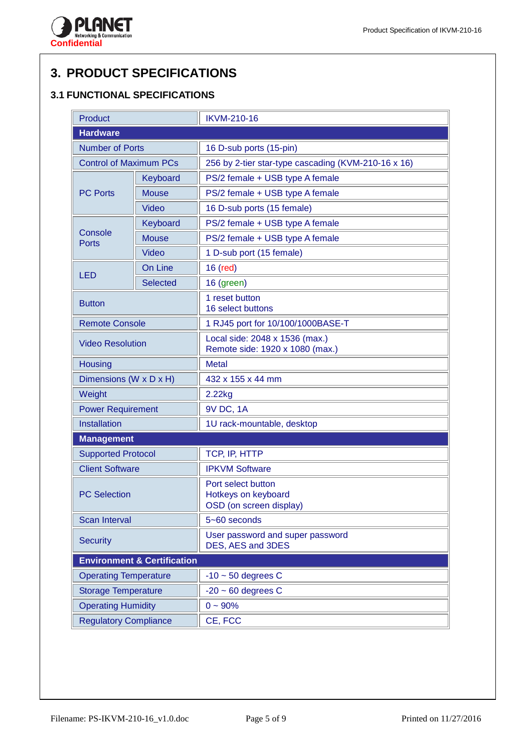

# **3. PRODUCT SPECIFICATIONS**

# **3.1 FUNCTIONAL SPECIFICATIONS**

| Product                         |                                        | <b>IKVM-210-16</b>                                                   |  |  |  |
|---------------------------------|----------------------------------------|----------------------------------------------------------------------|--|--|--|
| <b>Hardware</b>                 |                                        |                                                                      |  |  |  |
| <b>Number of Ports</b>          |                                        | 16 D-sub ports (15-pin)                                              |  |  |  |
| <b>Control of Maximum PCs</b>   |                                        | 256 by 2-tier star-type cascading (KVM-210-16 x 16)                  |  |  |  |
|                                 | Keyboard                               | PS/2 female + USB type A female                                      |  |  |  |
| <b>Mouse</b><br><b>PC Ports</b> |                                        | PS/2 female + USB type A female                                      |  |  |  |
|                                 | Video                                  | 16 D-sub ports (15 female)                                           |  |  |  |
|                                 | Keyboard                               | PS/2 female + USB type A female                                      |  |  |  |
| Console<br>Ports                | <b>Mouse</b>                           | PS/2 female + USB type A female                                      |  |  |  |
|                                 | <b>Video</b>                           | 1 D-sub port (15 female)                                             |  |  |  |
| <b>LED</b>                      | On Line                                | 16 (red)                                                             |  |  |  |
|                                 | <b>Selected</b>                        | 16 (green)                                                           |  |  |  |
| <b>Button</b>                   |                                        | 1 reset button<br>16 select buttons                                  |  |  |  |
| <b>Remote Console</b>           |                                        | 1 RJ45 port for 10/100/1000BASE-T                                    |  |  |  |
| <b>Video Resolution</b>         |                                        | Local side: 2048 x 1536 (max.)<br>Remote side: 1920 x 1080 (max.)    |  |  |  |
| Housing                         |                                        | <b>Metal</b>                                                         |  |  |  |
| Dimensions (W x D x H)          |                                        | 432 x 155 x 44 mm                                                    |  |  |  |
| Weight                          |                                        | 2.22kg                                                               |  |  |  |
| <b>Power Requirement</b>        |                                        | 9V DC, 1A                                                            |  |  |  |
| Installation                    |                                        | 1U rack-mountable, desktop                                           |  |  |  |
| <b>Management</b>               |                                        |                                                                      |  |  |  |
| <b>Supported Protocol</b>       |                                        | TCP, IP, HTTP                                                        |  |  |  |
| <b>Client Software</b>          |                                        | <b>IPKVM Software</b>                                                |  |  |  |
| <b>PC Selection</b>             |                                        | Port select button<br>Hotkeys on keyboard<br>OSD (on screen display) |  |  |  |
| <b>Scan Interval</b>            |                                        | 5~60 seconds                                                         |  |  |  |
| <b>Security</b>                 |                                        | User password and super password<br>DES, AES and 3DES                |  |  |  |
|                                 | <b>Environment &amp; Certification</b> |                                                                      |  |  |  |
| <b>Operating Temperature</b>    |                                        | $-10$ ~ 50 degrees C                                                 |  |  |  |
| <b>Storage Temperature</b>      |                                        | $-20 \sim 60$ degrees C                                              |  |  |  |
| <b>Operating Humidity</b>       |                                        | $0 - 90%$                                                            |  |  |  |
| <b>Regulatory Compliance</b>    |                                        | CE, FCC                                                              |  |  |  |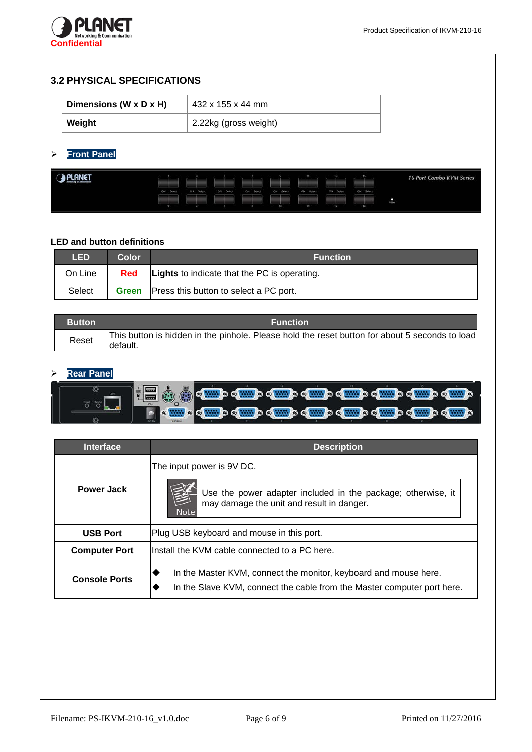

## **3.2 PHYSICAL SPECIFICATIONS**

| Dimensions (W x D x H) | 432 x 155 x 44 mm     |
|------------------------|-----------------------|
| Weight                 | 2.22kg (gross weight) |

# **Front Panel**

| $\bigcirc$ | ON Select | ON Select | : ON Select | DN Select | <b>CN SERIES</b> | ON Beled | CN Select | -15<br>ON Select | <b>16-Port Combo KVM Series</b> |
|------------|-----------|-----------|-------------|-----------|------------------|----------|-----------|------------------|---------------------------------|
|            |           |           |             |           |                  |          |           | 16               | Reset                           |

## **LED and button definitions**

| <b>LED</b> | Color        | <b>Function</b>                                     |
|------------|--------------|-----------------------------------------------------|
| On Line    | Red          | <b>Lights</b> to indicate that the PC is operating. |
| Select     | <b>Green</b> | Press this button to select a PC port.              |

| <b>Button</b> | <b>Function</b>                                                                                             |
|---------------|-------------------------------------------------------------------------------------------------------------|
| Reset         | This button is hidden in the pinhole. Please hold the reset button for about 5 seconds to load<br>ldefault. |

## **Rear Panel**

| <b>Interface</b>     | <b>Description</b>                                                                                                                                    |  |  |  |  |
|----------------------|-------------------------------------------------------------------------------------------------------------------------------------------------------|--|--|--|--|
| <b>Power Jack</b>    | The input power is 9V DC.<br>Use the power adapter included in the package; otherwise, it<br>may damage the unit and result in danger.<br><b>Note</b> |  |  |  |  |
| <b>USB Port</b>      | Plug USB keyboard and mouse in this port.                                                                                                             |  |  |  |  |
| <b>Computer Port</b> | linstall the KVM cable connected to a PC here.                                                                                                        |  |  |  |  |
| <b>Console Ports</b> | In the Master KVM, connect the monitor, keyboard and mouse here.<br>In the Slave KVM, connect the cable from the Master computer port here.           |  |  |  |  |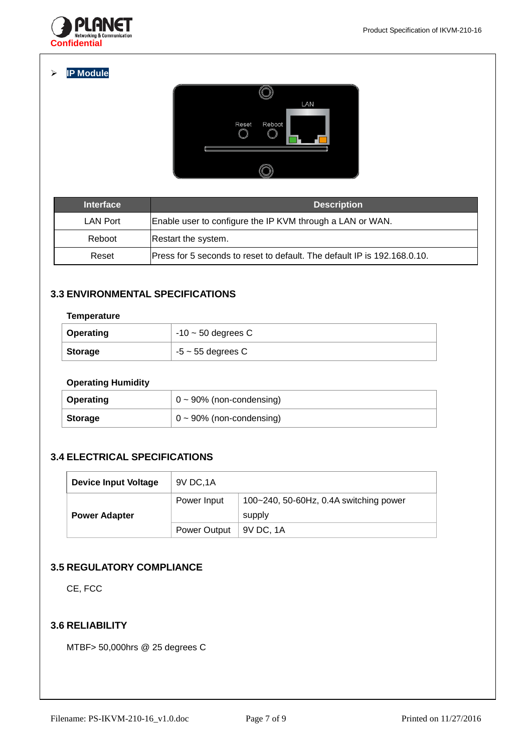

**IP Module**



| <b>Interface</b> | <b>Description</b>                                                       |
|------------------|--------------------------------------------------------------------------|
| <b>LAN Port</b>  | Enable user to configure the IP KVM through a LAN or WAN.                |
| Reboot           | Restart the system.                                                      |
| Reset            | Press for 5 seconds to reset to default. The default IP is 192.168.0.10. |

## **3.3 ENVIRONMENTAL SPECIFICATIONS**

### **Temperature**

| <b>Operating</b> | $-10 \sim 50$ degrees C |
|------------------|-------------------------|
| <b>Storage</b>   | $-5 \sim 55$ degrees C  |

## **Operating Humidity**

| <b>Operating</b> | $\vert 0 \sim 90\%$ (non-condensing) |
|------------------|--------------------------------------|
| <b>Storage</b>   | $\vert 0 \sim 90\%$ (non-condensing) |

# **3.4 ELECTRICAL SPECIFICATIONS**

| Device Input Voltage | 9V DC, 1A    |                                                       |
|----------------------|--------------|-------------------------------------------------------|
| <b>Power Adapter</b> | Power Input  | $100 - 240$ , 50-60Hz, 0.4A switching power<br>supply |
|                      | Power Output | 9V DC. 1A                                             |

## **3.5 REGULATORY COMPLIANCE**

CE, FCC

## **3.6 RELIABILITY**

MTBF> 50,000hrs @ 25 degrees C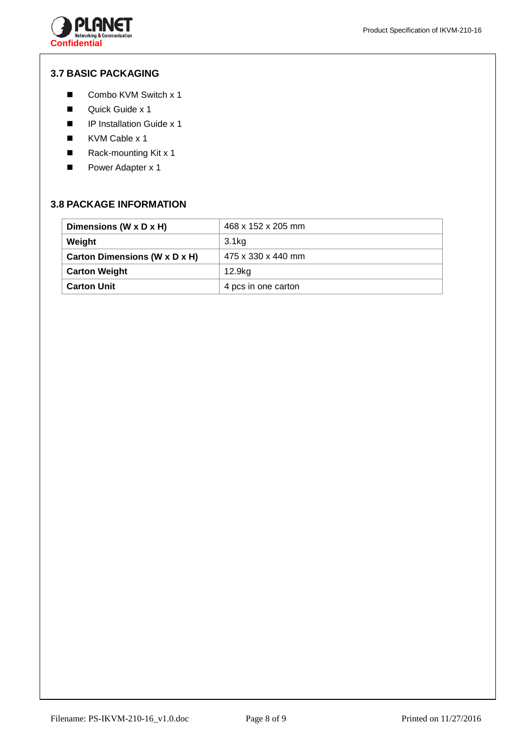

## **3.7 BASIC PACKAGING**

- Combo KVM Switch x 1
- Quick Guide x 1
- **IP Installation Guide x 1**
- KVM Cable x 1
- Rack-mounting Kit x 1
- Power Adapter x 1

## **3.8 PACKAGE INFORMATION**

| Dimensions (W x D x H)        | 468 x 152 x 205 mm  |
|-------------------------------|---------------------|
| Weight                        | 3.1kg               |
| Carton Dimensions (W x D x H) | 475 x 330 x 440 mm  |
| <b>Carton Weight</b>          | 12.9kg              |
| <b>Carton Unit</b>            | 4 pcs in one carton |